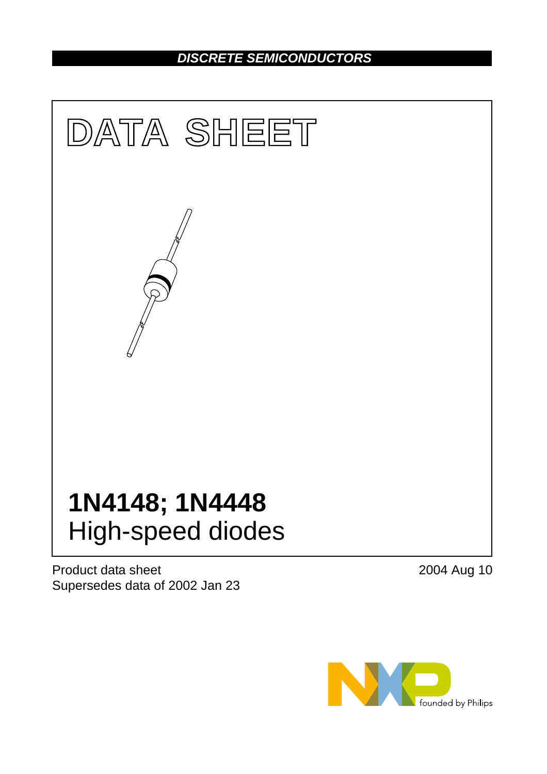## *DISCRETE SEMICONDUCTORS*



Product data sheet Supersedes data of 2002 Jan 23 2004 Aug 10

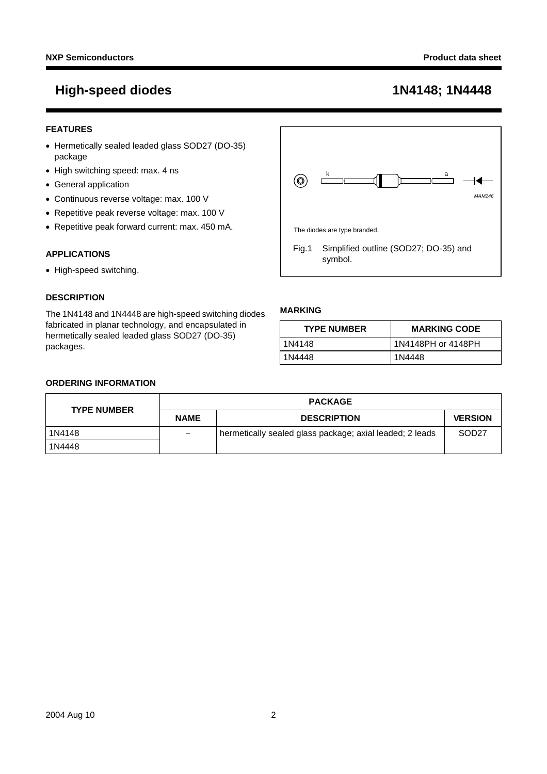### **FEATURES**

- Hermetically sealed leaded glass SOD27 (DO-35) package
- High switching speed: max. 4 ns
- General application
- Continuous reverse voltage: max. 100 V
- Repetitive peak reverse voltage: max. 100 V
- Repetitive peak forward current: max. 450 mA.

#### **APPLICATIONS**

• High-speed switching.

#### **DESCRIPTION**

The 1N4148 and 1N4448 are high-speed switching diodes fabricated in planar technology, and encapsulated in hermetically sealed leaded glass SOD27 (DO-35) packages.



#### **MARKING**

| <b>TYPE NUMBER</b> | <b>MARKING CODE</b> |
|--------------------|---------------------|
| 1N4148             | 1N4148PH or 4148PH  |
| 1N4448             | 1N4448              |

#### **ORDERING INFORMATION**

| <b>PACKAGE</b><br><b>TYPE NUMBER</b> |                                                     |                                                          |                   |  |
|--------------------------------------|-----------------------------------------------------|----------------------------------------------------------|-------------------|--|
|                                      | <b>VERSION</b><br><b>NAME</b><br><b>DESCRIPTION</b> |                                                          |                   |  |
| 1N4148                               | $\overline{\phantom{0}}$                            | hermetically sealed glass package; axial leaded; 2 leads | SOD <sub>27</sub> |  |
| 1N4448                               |                                                     |                                                          |                   |  |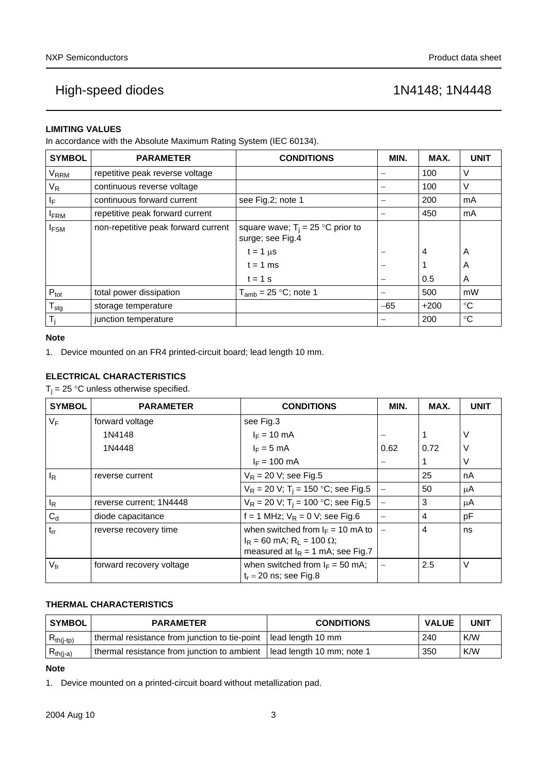### **LIMITING VALUES**

In accordance with the Absolute Maximum Rating System (IEC 60134).

| <b>SYMBOL</b>          | <b>PARAMETER</b>                    | <b>CONDITIONS</b>                                       | MIN.  | MAX.   | <b>UNIT</b> |
|------------------------|-------------------------------------|---------------------------------------------------------|-------|--------|-------------|
| <b>V<sub>RRM</sub></b> | repetitive peak reverse voltage     |                                                         |       | 100    | V           |
| $V_R$                  | continuous reverse voltage          |                                                         |       | 100    | V           |
| ΙF                     | continuous forward current          | see Fig.2; note 1                                       |       | 200    | mA          |
| <b>IFRM</b>            | repetitive peak forward current     |                                                         |       | 450    | mA          |
| <b>IFSM</b>            | non-repetitive peak forward current | square wave; $T_i = 25$ °C prior to<br>surge; see Fig.4 |       |        |             |
|                        |                                     | $t = 1 \mu s$                                           |       | 4      | A           |
|                        |                                     | $t = 1$ ms                                              |       |        | A           |
|                        |                                     | $t = 1$ s                                               |       | 0.5    | A           |
| $P_{\text{tot}}$       | total power dissipation             | $T_{amb}$ = 25 °C; note 1                               |       | 500    | mW          |
| $T_{\text{stg}}$       | storage temperature                 |                                                         | $-65$ | $+200$ | °C          |
| T,                     | junction temperature                |                                                         |       | 200    | $^{\circ}C$ |

#### **Note**

<span id="page-2-1"></span>1. Device mounted on an FR4 printed-circuit board; lead length 10 mm.

### **ELECTRICAL CHARACTERISTICS**

 $T_j = 25$  °C unless otherwise specified.

| <b>SYMBOL</b>   | <b>PARAMETER</b>         | <b>CONDITIONS</b>                                                                                                            | MIN.                     | MAX. | <b>UNIT</b> |
|-----------------|--------------------------|------------------------------------------------------------------------------------------------------------------------------|--------------------------|------|-------------|
| $V_F$           | forward voltage          | see Fig.3                                                                                                                    |                          |      |             |
|                 | 1N4148                   | $I_F = 10 \text{ mA}$                                                                                                        |                          |      | V           |
|                 | 1N4448                   | $I_F = 5$ mA                                                                                                                 | 0.62                     | 0.72 | V           |
|                 |                          | $I_F = 100$ mA                                                                                                               |                          |      | V           |
| $I_R$           | reverse current          | $V_R$ = 20 V; see Fig.5                                                                                                      |                          | 25   | nA          |
|                 |                          | $V_R$ = 20 V; T <sub>i</sub> = 150 °C; see Fig.5                                                                             |                          | 50   | μA          |
| $I_R$           | reverse current; 1N4448  | $V_R$ = 20 V; T <sub>i</sub> = 100 °C; see Fig.5                                                                             |                          | 3    | μA          |
| $C_d$           | diode capacitance        | $f = 1$ MHz; $V_R = 0$ V; see Fig.6                                                                                          |                          | 4    | рF          |
| $t_{rr}$        | reverse recovery time    | when switched from $I_F = 10$ mA to<br>$I_R$ = 60 mA; R <sub>1</sub> = 100 $\Omega$ ;<br>measured at $I_R = 1$ mA; see Fig.7 | $\overline{\phantom{0}}$ | 4    | ns          |
| $V_{\text{fr}}$ | forward recovery voltage | when switched from $I_F = 50$ mA;<br>$t_r = 20$ ns; see Fig.8                                                                |                          | 2.5  | V           |

### **THERMAL CHARACTERISTICS**

| <b>SYMBOL</b>  | <b>PARAMETER</b>                                                  | <b>CONDITIONS</b>         | <b>VALUE</b> | <b>UNIT</b> |
|----------------|-------------------------------------------------------------------|---------------------------|--------------|-------------|
| $R_{th(j-tp)}$ | thermal resistance from junction to tie-point   lead length 10 mm |                           | 240          | K/W         |
| $R_{th(j-a)}$  | thermal resistance from junction to ambient                       | lead length 10 mm; note 1 | 350          | K/W         |

### **Note**

<span id="page-2-0"></span>1. Device mounted on a printed-circuit board without metallization pad.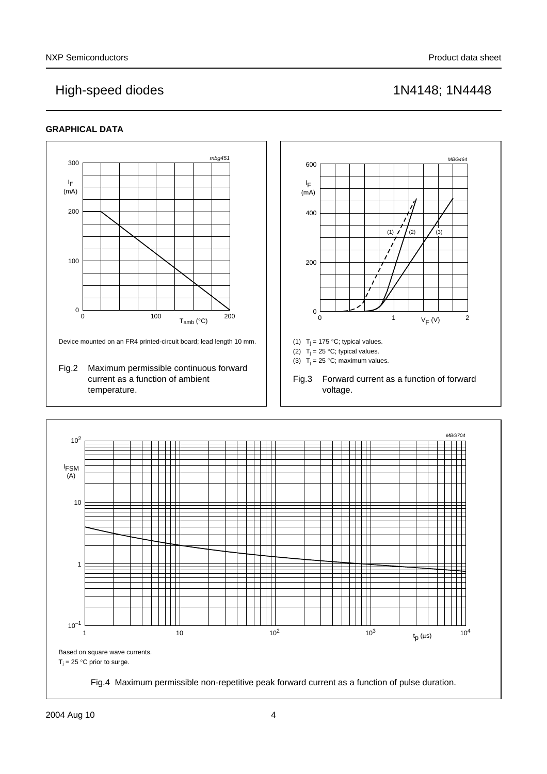### **GRAPHICAL DATA**

<span id="page-3-2"></span><span id="page-3-1"></span><span id="page-3-0"></span>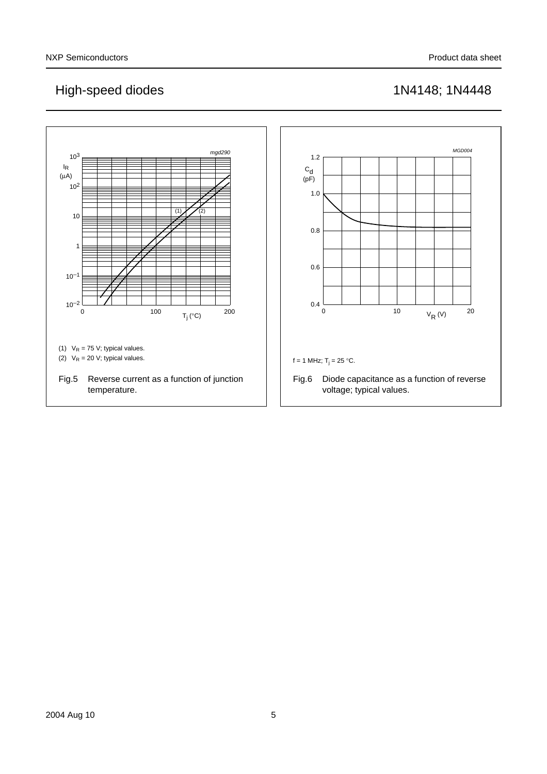<span id="page-4-1"></span><span id="page-4-0"></span>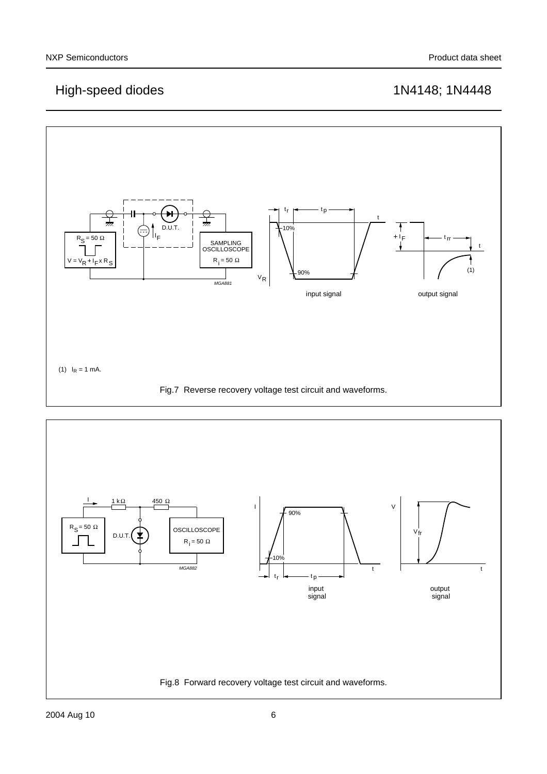

<span id="page-5-1"></span><span id="page-5-0"></span>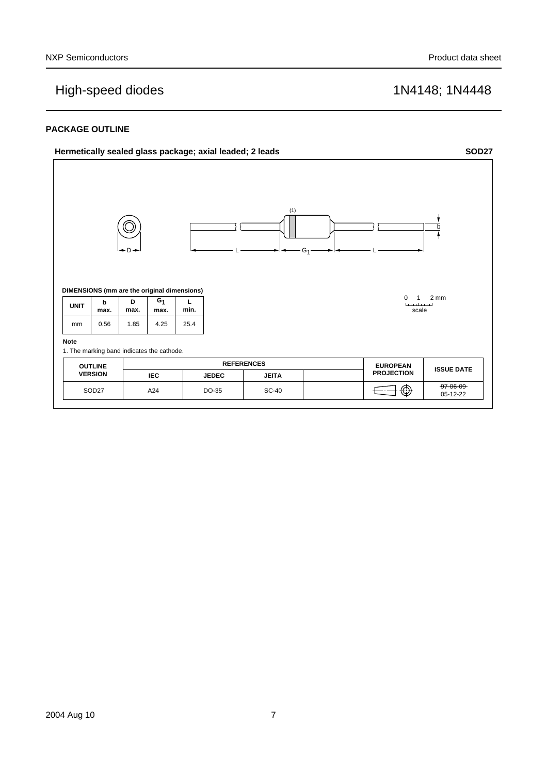#### **PACKAGE OUTLINE**

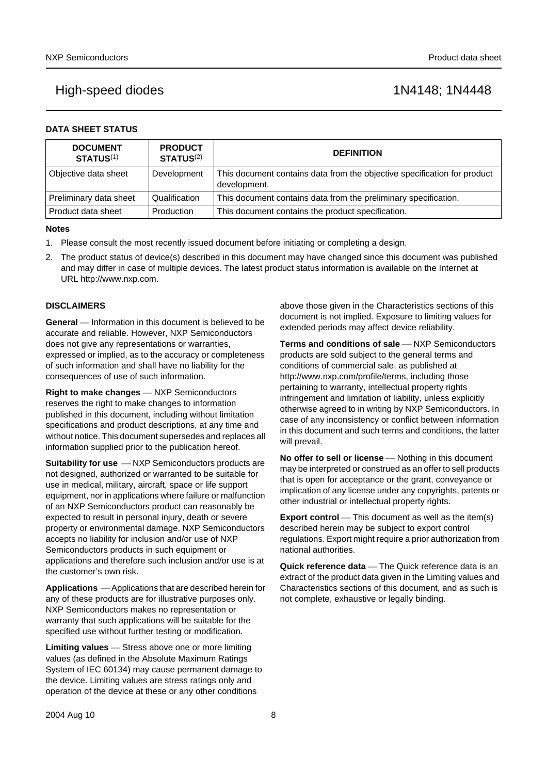| <b>DATA SHEET STATUS</b> |  |  |  |  |  |  |  |  |
|--------------------------|--|--|--|--|--|--|--|--|
|--------------------------|--|--|--|--|--|--|--|--|

| <b>DOCUMENT</b><br><b>STATUS(1)</b> | <b>PRODUCT</b><br><b>STATUS(2)</b> | <b>DEFINITION</b>                                                                        |
|-------------------------------------|------------------------------------|------------------------------------------------------------------------------------------|
| Objective data sheet                | Development                        | This document contains data from the objective specification for product<br>development. |
| Preliminary data sheet              | Qualification                      | This document contains data from the preliminary specification.                          |
| Product data sheet                  | Production                         | This document contains the product specification.                                        |

#### **Notes**

- <span id="page-7-0"></span>1. Please consult the most recently issued document before initiating or completing a design.
- <span id="page-7-1"></span>2. The product status of device(s) described in this document may have changed since this document was published and may differ in case of multiple devices. The latest product status information is available on the Internet at URL http://www.nxp.com.

#### **DISCLAIMERS**

**General** – Information in this document is believed to be accurate and reliable. However, NXP Semiconductors does not give any representations or warranties, expressed or implied, as to the accuracy or completeness of such information and shall have no liability for the consequences of use of such information.

**Right to make changes** - NXP Semiconductors reserves the right to make changes to information published in this document, including without limitation specifications and product descriptions, at any time and without notice. This document supersedes and replaces all information supplied prior to the publication hereof.

**Suitability for use**  $-MXP$  Semiconductors products are not designed, authorized or warranted to be suitable for use in medical, military, aircraft, space or life support equipment, nor in applications where failure or malfunction of an NXP Semiconductors product can reasonably be expected to result in personal injury, death or severe property or environmental damage. NXP Semiconductors accepts no liability for inclusion and/or use of NXP Semiconductors products in such equipment or applications and therefore such inclusion and/or use is at the customer's own risk.

**Applications** ⎯ Applications that are described herein for any of these products are for illustrative purposes only. NXP Semiconductors makes no representation or warranty that such applications will be suitable for the specified use without further testing or modification.

**Limiting values** – Stress above one or more limiting values (as defined in the Absolute Maximum Ratings System of IEC 60134) may cause permanent damage to the device. Limiting values are stress ratings only and operation of the device at these or any other conditions

above those given in the Characteristics sections of this document is not implied. Exposure to limiting values for extended periods may affect device reliability.

**Terms and conditions of sale** – NXP Semiconductors products are sold subject to the general terms and conditions of commercial sale, as published at http://www.nxp.com/profile/terms, including those pertaining to warranty, intellectual property rights infringement and limitation of liability, unless explicitly [otherwise agreed to in writing by NXP Semiconductors. In](http://www.nxp.com/profile/terms)  case of any inconsistency or conflict between information in this document and such terms and conditions, the latter will prevail.

**No offer to sell or license** — Nothing in this document may be interpreted or construed as an offer to sell products that is open for acceptance or the grant, conveyance or implication of any license under any copyrights, patents or other industrial or intellectual property rights.

**Export control** — This document as well as the item(s) described herein may be subject to export control regulations. Export might require a prior authorization from national authorities.

**Quick reference data** - The Quick reference data is an extract of the product data given in the Limiting values and Characteristics sections of this document, and as such is not complete, exhaustive or legally binding.